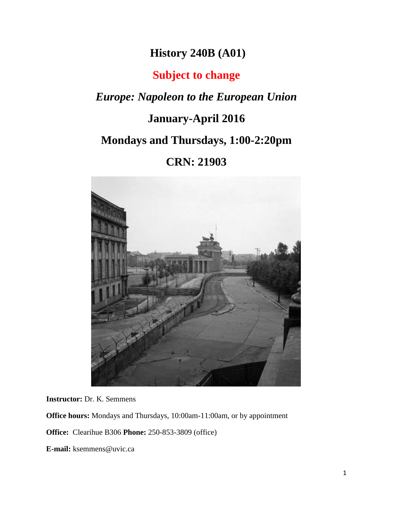# **History 240B (A01)**

# **Subject to change**

*Europe: Napoleon to the European Union*

# **January-April 2016**

# **Mondays and Thursdays, 1:00-2:20pm**

# **CRN: 21903**



**Instructor:** Dr. K. Semmens

**Office hours:** Mondays and Thursdays, 10:00am-11:00am, or by appointment

**Office:** Clearihue B306 **Phone:** 250-853-3809 (office)

**E-mail:** ksemmens@uvic.ca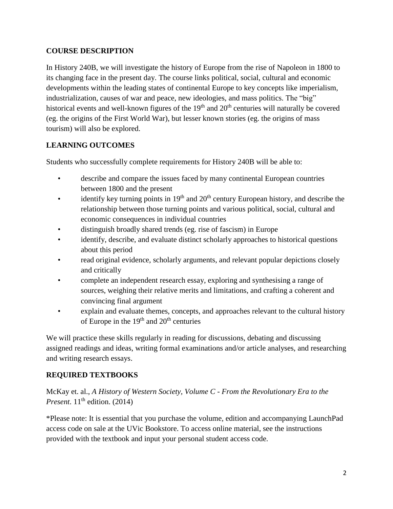### **COURSE DESCRIPTION**

In History 240B, we will investigate the history of Europe from the rise of Napoleon in 1800 to its changing face in the present day. The course links political, social, cultural and economic developments within the leading states of continental Europe to key concepts like imperialism, industrialization, causes of war and peace, new ideologies, and mass politics. The "big" historical events and well-known figures of the  $19<sup>th</sup>$  and  $20<sup>th</sup>$  centuries will naturally be covered (eg. the origins of the First World War), but lesser known stories (eg. the origins of mass tourism) will also be explored.

# **LEARNING OUTCOMES**

Students who successfully complete requirements for History 240B will be able to:

- describe and compare the issues faced by many continental European countries between 1800 and the present
- identify key turning points in  $19<sup>th</sup>$  and  $20<sup>th</sup>$  century European history, and describe the relationship between those turning points and various political, social, cultural and economic consequences in individual countries
- distinguish broadly shared trends (eg. rise of fascism) in Europe
- identify, describe, and evaluate distinct scholarly approaches to historical questions about this period
- read original evidence, scholarly arguments, and relevant popular depictions closely and critically
- complete an independent research essay, exploring and synthesising a range of sources, weighing their relative merits and limitations, and crafting a coherent and convincing final argument
- explain and evaluate themes, concepts, and approaches relevant to the cultural history of Europe in the  $19<sup>th</sup>$  and  $20<sup>th</sup>$  centuries

We will practice these skills regularly in reading for discussions, debating and discussing assigned readings and ideas, writing formal examinations and/or article analyses, and researching and writing research essays.

# **REQUIRED TEXTBOOKS**

McKay et. al., *A History of Western Society, Volume C - From the Revolutionary Era to the Present.* 11<sup>th</sup> edition. (2014)

\*Please note: It is essential that you purchase the volume, edition and accompanying LaunchPad access code on sale at the UVic Bookstore. To access online material, see the instructions provided with the textbook and input your personal student access code.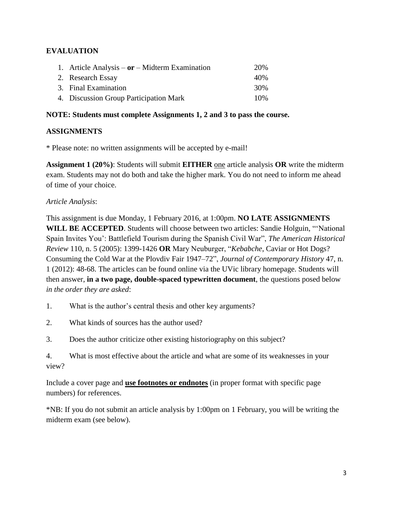# **EVALUATION**

| 1. Article Analysis – $or$ – Midterm Examination | 20\% |
|--------------------------------------------------|------|
| 2. Research Essay                                | 40\% |
| 3. Final Examination                             | 30%  |
| 4. Discussion Group Participation Mark           | 10%  |

#### **NOTE: Students must complete Assignments 1, 2 and 3 to pass the course.**

#### **ASSIGNMENTS**

\* Please note: no written assignments will be accepted by e-mail!

**Assignment 1 (20%)**: Students will submit **EITHER** one article analysis **OR** write the midterm exam. Students may not do both and take the higher mark. You do not need to inform me ahead of time of your choice.

### *Article Analysis*:

This assignment is due Monday, 1 February 2016, at 1:00pm. **NO LATE ASSIGNMENTS WILL BE ACCEPTED**. Students will choose between two articles: Sandie Holguin, "'National Spain Invites You': Battlefield Tourism during the Spanish Civil War", *The American Historical Review* 110, n. 5 (2005): 1399-1426 **OR** Mary Neuburger, "*Kebabche*, Caviar or Hot Dogs? Consuming the Cold War at the Plovdiv Fair 1947–72", *Journal of Contemporary History* 47, n. 1 (2012): 48-68. The articles can be found online via the UVic library homepage. Students will then answer, **in a two page, double-spaced typewritten document**, the questions posed below *in the order they are asked*:

1. What is the author's central thesis and other key arguments?

- 2. What kinds of sources has the author used?
- 3. Does the author criticize other existing historiography on this subject?

4. What is most effective about the article and what are some of its weaknesses in your view?

Include a cover page and **use footnotes or endnotes** (in proper format with specific page numbers) for references.

\*NB: If you do not submit an article analysis by 1:00pm on 1 February, you will be writing the midterm exam (see below).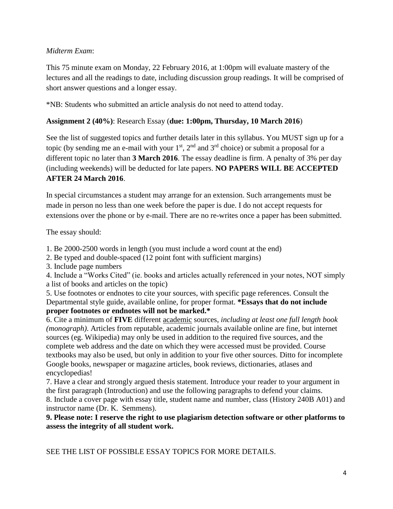### *Midterm Exam*:

This 75 minute exam on Monday, 22 February 2016, at 1:00pm will evaluate mastery of the lectures and all the readings to date, including discussion group readings. It will be comprised of short answer questions and a longer essay.

\*NB: Students who submitted an article analysis do not need to attend today.

#### **Assignment 2 (40%)**: Research Essay (**due: 1:00pm, Thursday, 10 March 2016**)

See the list of suggested topics and further details later in this syllabus. You MUST sign up for a topic (by sending me an e-mail with your  $1<sup>st</sup>$ ,  $2<sup>nd</sup>$  and  $3<sup>rd</sup>$  choice) or submit a proposal for a different topic no later than **3 March 2016**. The essay deadline is firm. A penalty of 3% per day (including weekends) will be deducted for late papers. **NO PAPERS WILL BE ACCEPTED AFTER 24 March 2016**.

In special circumstances a student may arrange for an extension. Such arrangements must be made in person no less than one week before the paper is due. I do not accept requests for extensions over the phone or by e-mail. There are no re-writes once a paper has been submitted.

The essay should:

1. Be 2000-2500 words in length (you must include a word count at the end)

- 2. Be typed and double-spaced (12 point font with sufficient margins)
- 3. Include page numbers

4. Include a "Works Cited" (ie. books and articles actually referenced in your notes, NOT simply a list of books and articles on the topic)

5. Use footnotes or endnotes to cite your sources, with specific page references. Consult the Departmental style guide, available online, for proper format. **\*Essays that do not include proper footnotes or endnotes will not be marked.\***

6. Cite a minimum of **FIVE** different academic sources, *including at least one full length book (monograph)*. Articles from reputable, academic journals available online are fine, but internet sources (eg. Wikipedia) may only be used in addition to the required five sources, and the complete web address and the date on which they were accessed must be provided. Course textbooks may also be used, but only in addition to your five other sources. Ditto for incomplete Google books, newspaper or magazine articles, book reviews, dictionaries, atlases and encyclopedias!

7. Have a clear and strongly argued thesis statement. Introduce your reader to your argument in the first paragraph (Introduction) and use the following paragraphs to defend your claims. 8. Include a cover page with essay title, student name and number, class (History 240B A01) and instructor name (Dr. K. Semmens).

**9. Please note: I reserve the right to use plagiarism detection software or other platforms to assess the integrity of all student work.**

SEE THE LIST OF POSSIBLE ESSAY TOPICS FOR MORE DETAILS.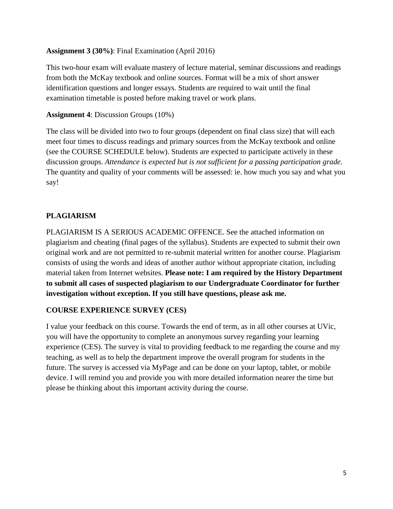#### **Assignment 3 (30%)**: Final Examination (April 2016)

This two-hour exam will evaluate mastery of lecture material, seminar discussions and readings from both the McKay textbook and online sources. Format will be a mix of short answer identification questions and longer essays. Students are required to wait until the final examination timetable is posted before making travel or work plans.

#### **Assignment 4**: Discussion Groups (10%)

The class will be divided into two to four groups (dependent on final class size) that will each meet four times to discuss readings and primary sources from the McKay textbook and online (see the COURSE SCHEDULE below). Students are expected to participate actively in these discussion groups. *Attendance is expected but is not sufficient for a passing participation grade*. The quantity and quality of your comments will be assessed: ie. how much you say and what you say!

### **PLAGIARISM**

PLAGIARISM IS A SERIOUS ACADEMIC OFFENCE. See the attached information on plagiarism and cheating (final pages of the syllabus). Students are expected to submit their own original work and are not permitted to re-submit material written for another course. Plagiarism consists of using the words and ideas of another author without appropriate citation, including material taken from Internet websites. **Please note: I am required by the History Department to submit all cases of suspected plagiarism to our Undergraduate Coordinator for further investigation without exception. If you still have questions, please ask me.**

### **COURSE EXPERIENCE SURVEY (CES)**

I value your feedback on this course. Towards the end of term, as in all other courses at UVic, you will have the opportunity to complete an anonymous survey regarding your learning experience (CES). The survey is vital to providing feedback to me regarding the course and my teaching, as well as to help the department improve the overall program for students in the future. The survey is accessed via MyPage and can be done on your laptop, tablet, or mobile device. I will remind you and provide you with more detailed information nearer the time but please be thinking about this important activity during the course.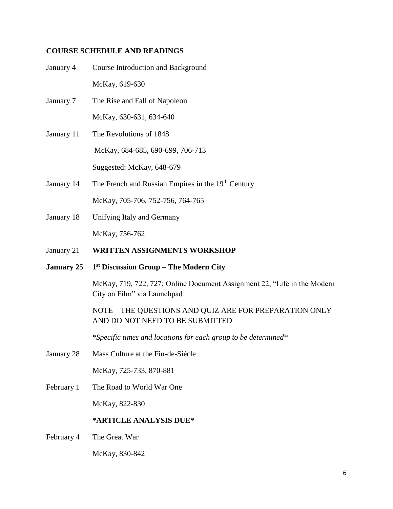#### **COURSE SCHEDULE AND READINGS**

- January 4 Course Introduction and Background McKay, 619-630 January 7 The Rise and Fall of Napoleon McKay, 630-631, 634-640 January 11 The Revolutions of 1848 McKay, 684-685, 690-699, 706-713 Suggested: McKay, 648-679
- January 14 The French and Russian Empires in the 19<sup>th</sup> Century McKay, 705-706, 752-756, 764-765
- January 18 Unifying Italy and Germany McKay, 756-762
- January 21 **WRITTEN ASSIGNMENTS WORKSHOP**
- **January 25 1 st Discussion Group – The Modern City**

McKay, 719, 722, 727; Online Document Assignment 22, "Life in the Modern City on Film" via Launchpad

### NOTE – THE QUESTIONS AND QUIZ ARE FOR PREPARATION ONLY AND DO NOT NEED TO BE SUBMITTED

*\*Specific times and locations for each group to be determined\**

January 28 Mass Culture at the Fin-de-Siècle

McKay, 725-733, 870-881

February 1 The Road to World War One

McKay, 822-830

#### **\*ARTICLE ANALYSIS DUE\***

February 4 The Great War

McKay, 830-842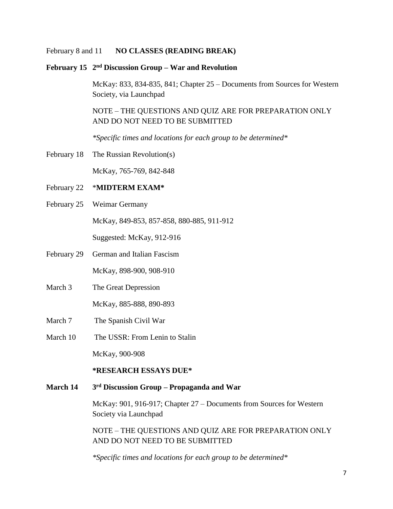#### February 8 and 11 **NO CLASSES (READING BREAK)**

#### **February 15 2 nd Discussion Group – War and Revolution**

McKay: 833, 834-835, 841; Chapter 25 – Documents from Sources for Western Society, via Launchpad

NOTE – THE QUESTIONS AND QUIZ ARE FOR PREPARATION ONLY AND DO NOT NEED TO BE SUBMITTED

*\*Specific times and locations for each group to be determined\**

February 18 The Russian Revolution(s)

McKay, 765-769, 842-848

### February 22 \***MIDTERM EXAM\***

February 25 Weimar Germany

McKay, 849-853, 857-858, 880-885, 911-912

Suggested: McKay, 912-916

- February 29 German and Italian Fascism McKay, 898-900, 908-910
- March 3 The Great Depression

McKay, 885-888, 890-893

- March 7 The Spanish Civil War
- March 10 The USSR: From Lenin to Stalin

McKay, 900-908

#### **\*RESEARCH ESSAYS DUE\***

#### **March 14 3 rd Discussion Group – Propaganda and War**

McKay: 901, 916-917; Chapter 27 – Documents from Sources for Western Society via Launchpad

NOTE – THE QUESTIONS AND QUIZ ARE FOR PREPARATION ONLY AND DO NOT NEED TO BE SUBMITTED

*\*Specific times and locations for each group to be determined\**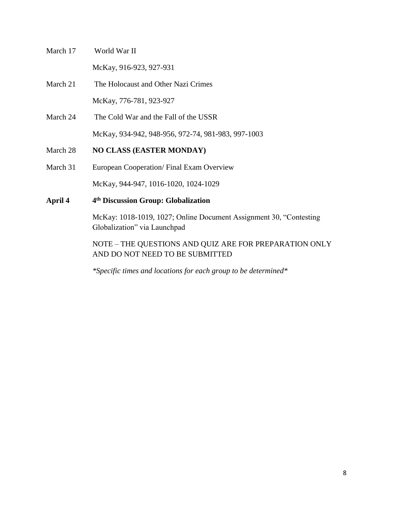- March 17 World War II McKay, 916-923, 927-931
- March 21 The Holocaust and Other Nazi Crimes McKay, 776-781, 923-927
- March 24 The Cold War and the Fall of the USSR McKay, 934-942, 948-956, 972-74, 981-983, 997-1003
- March 28 **NO CLASS (EASTER MONDAY)**
- March 31 European Cooperation/ Final Exam Overview

McKay, 944-947, 1016-1020, 1024-1029

**April 4 4 th Discussion Group: Globalization**

> McKay: 1018-1019, 1027; Online Document Assignment 30, "Contesting Globalization" via Launchpad

NOTE – THE QUESTIONS AND QUIZ ARE FOR PREPARATION ONLY AND DO NOT NEED TO BE SUBMITTED

*\*Specific times and locations for each group to be determined\**